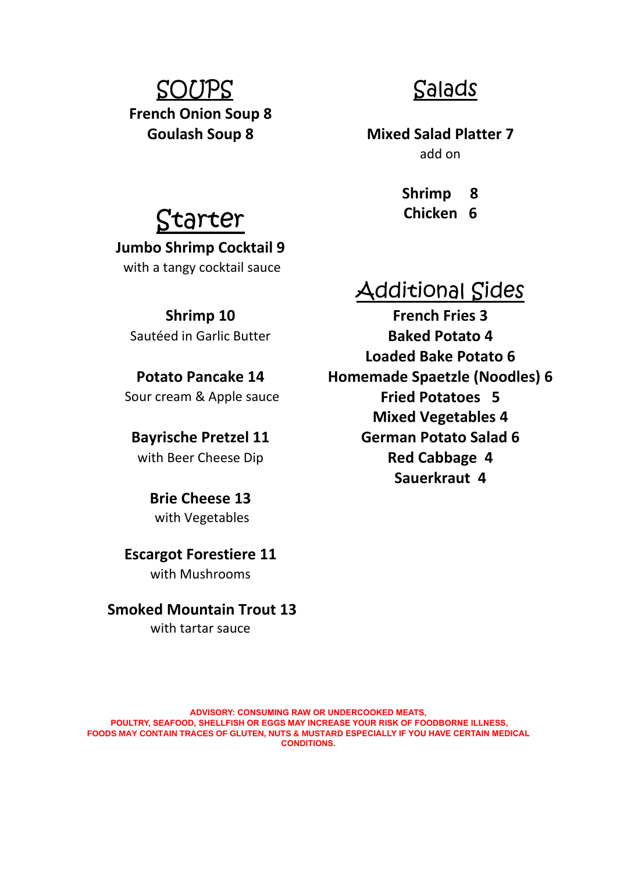# SOUPS Salads **French Onion Soup 8**

**Goulash Soup 8 Mixed Salad Platter 7** add on

**Shrimp 8** Starter **Chicken 6** 

## Additional Sides

**Shrimp 10 French Fries 3** Sautéed in Garlic Butter **Baked Potato 4 Loaded Bake Potato 6 Potato Pancake 14 Homemade Spaetzle (Noodles) 6** Sour cream & Apple sauce **Fried Potatoes 5 Mixed Vegetables 4 Bayrische Pretzel 11 German Potato Salad 6** with Beer Cheese Dip **Red Cabbage 4 Sauerkraut 4**

**Jumbo Shrimp Cocktail 9** with a tangy cocktail sauce

**Brie Cheese 13** with Vegetables

### **Escargot Forestiere 11** with Mushrooms

### **Smoked Mountain Trout 13** with tartar sauce

**ADVISORY: CONSUMING RAW OR UNDERCOOKED MEATS, POULTRY, SEAFOOD, SHELLFISH OR EGGS MAY INCREASE YOUR RISK OF FOODBORNE ILLNESS, FOODS MAY CONTAIN TRACES OF GLUTEN, NUTS & MUSTARD ESPECIALLY IF YOU HAVE CERTAIN MEDICAL CONDITIONS.**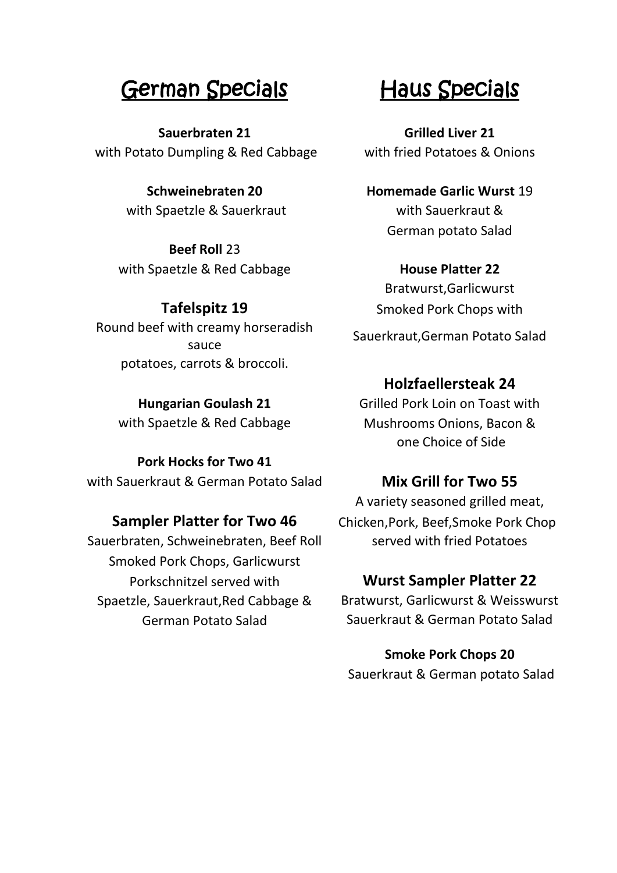## German Specials Haus Specials Ĩ

**Sauerbraten 21 Grilled Liver 21** with Potato Dumpling & Red Cabbage with fried Potatoes & Onions

with Spaetzle & Sauerkraut with Sauerkraut &

**Beef Roll** 23 with Spaetzle & Red Cabbage **House Platter 22** 

Round beef with creamy horseradish sauce potatoes, carrots & broccoli.

**Pork Hocks for Two 41** with Sauerkraut & German Potato Salad **Mix Grill for Two 55**

Sauerbraten, Schweinebraten, Beef Roll served with fried Potatoes Smoked Pork Chops, Garlicwurst Porkschnitzel served with **Wurst Sampler Platter 22** Spaetzle, Sauerkraut,Red Cabbage & Bratwurst, Garlicwurst & Weisswurst

**Schweinebraten 20 Homemade Garlic Wurst** 19 German potato Salad

Bratwurst,Garlicwurst **Tafelspitz 19** Smoked Pork Chops with Sauerkraut,German Potato Salad

### **Holzfaellersteak 24**

**Hungarian Goulash 21** Grilled Pork Loin on Toast with with Spaetzle & Red Cabbage Mushrooms Onions, Bacon & one Choice of Side

A variety seasoned grilled meat, **Sampler Platter for Two 46** Chicken, Pork, Beef, Smoke Pork Chop

German Potato Salad Sauerkraut & German Potato Salad

**Smoke Pork Chops 20** Sauerkraut & German potato Salad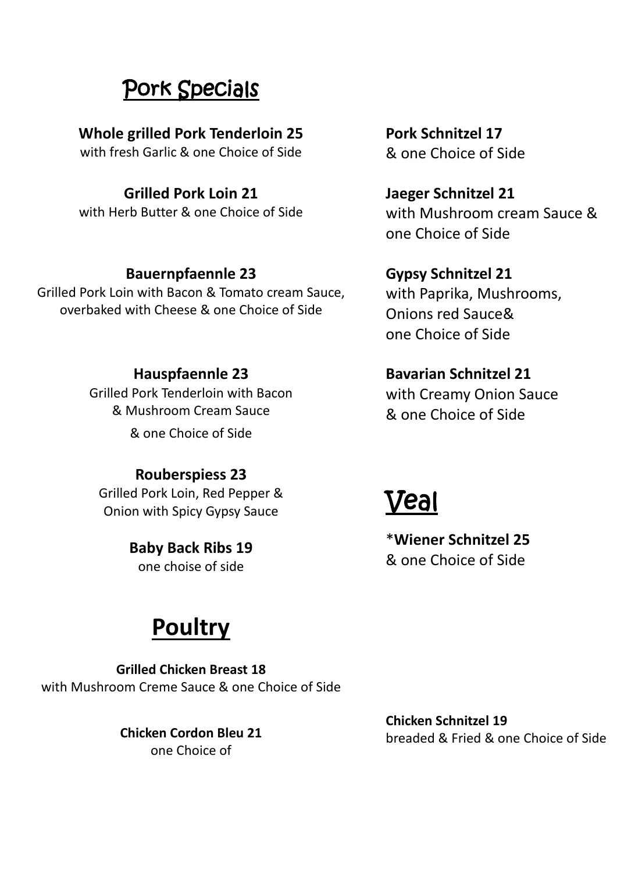## Pork Specials i<br>-

**Whole grilled Pork Tenderloin 25 Pork Schnitzel 17** 

with fresh Garlic & one Choice of Side 8 ane Choice of Side

## **Grilled Pork Loin 21 Jaeger Schnitzel 21**

with Herb Butter & one Choice of Side with Mushroom cream Sauce &

## **Bauernpfaennle 23 Gypsy Schnitzel 21**

Grilled Pork Loin with Bacon & Tomato cream Sauce, overbaked with Cheese & one Choice of Side

Grilled Pork Tenderloin with Bacon & Mushroom Cream Sauce

& one Choice of Side

## **Rouberspiess 23**

Grilled Pork Loin, Red Pepper & Onion with Spicy Gypsy Sauce

> **Baby Back Ribs 19** one choise of side

# **Poultry**

**Grilled Chicken Breast 18** with Mushroom Creme Sauce & one Choice of Side

> **Chicken Cordon Bleu 21** one Choice of

one Choice of Side

with Paprika, Mushrooms, Onions red Sauce& one Choice of Side

**Hauspfaennle 23 Bavarian Schnitzel 21** with Creamy Onion Sauce & one Choice of Side

# Veal

\***Wiener Schnitzel 25** & one Choice of Side

**Chicken Schnitzel 19** breaded & Fried & one Choice of Side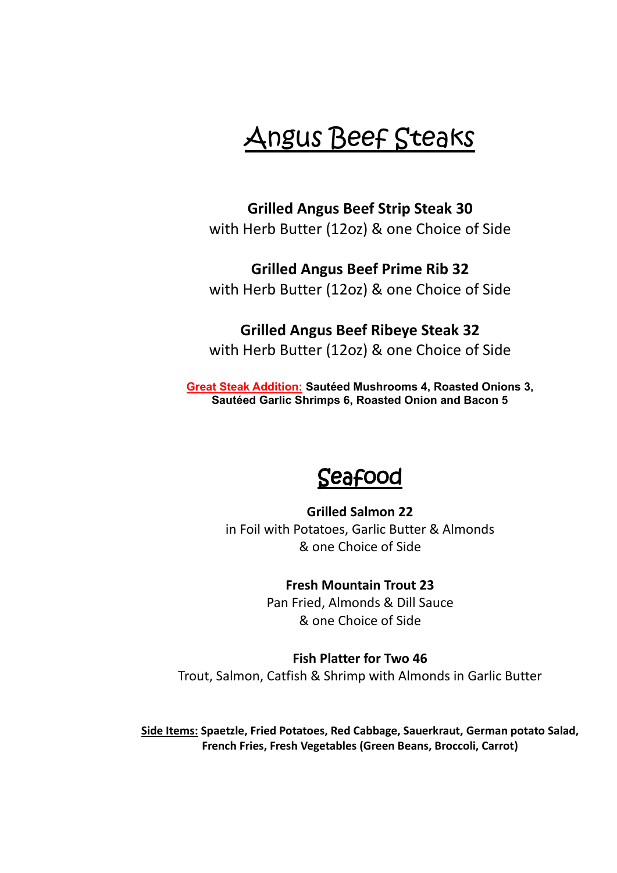# Angus Beef Steaks

**Grilled Angus Beef Strip Steak 30** with Herb Butter (12oz) & one Choice of Side

**Grilled Angus Beef Prime Rib 32** with Herb Butter (12oz) & one Choice of Side

## **Grilled Angus Beef Ribeye Steak 32**

with Herb Butter (12oz) & one Choice of Side

**Great Steak Addition: Sautéed Mushrooms 4, Roasted Onions 3, Sautéed Garlic Shrimps 6, Roasted Onion and Bacon 5**

## Seafood

**Grilled Salmon 22** in Foil with Potatoes, Garlic Butter & Almonds & one Choice of Side

### **Fresh Mountain Trout 23**

Pan Fried, Almonds & Dill Sauce & one Choice of Side

**Fish Platter for Two 46** Trout, Salmon, Catfish & Shrimp with Almonds in Garlic Butter

**Side Items: Spaetzle, Fried Potatoes, Red Cabbage, Sauerkraut, German potato Salad, French Fries, Fresh Vegetables (Green Beans, Broccoli, Carrot)**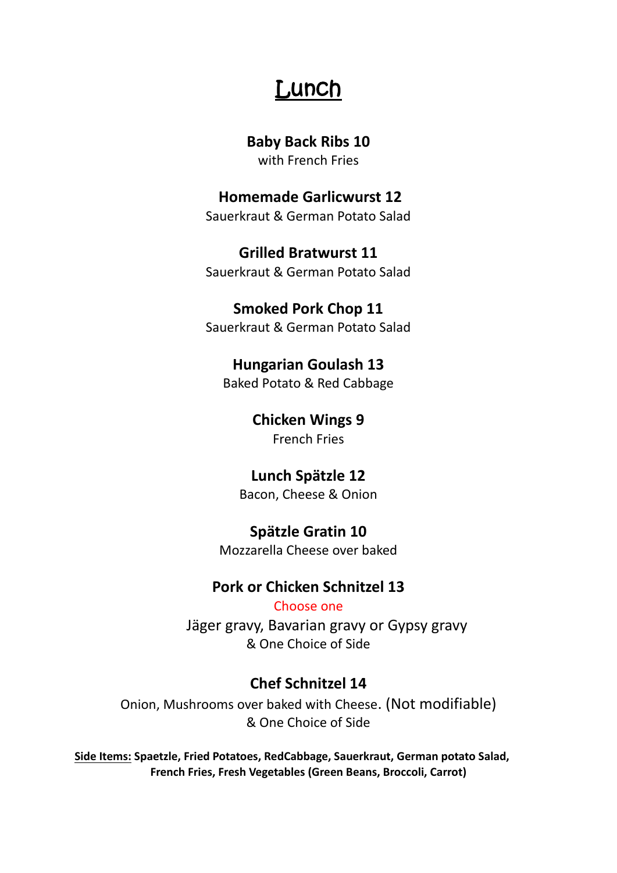## Lunch

### **Baby Back Ribs 10**

with French Fries

**Homemade Garlicwurst 12** Sauerkraut & German Potato Salad

## **Grilled Bratwurst 11**

Sauerkraut & German Potato Salad

## **Smoked Pork Chop 11**

Sauerkraut & German Potato Salad

## **Hungarian Goulash 13**

Baked Potato & Red Cabbage

### **Chicken Wings 9** French Fries

## **Lunch Spätzle 12**

Bacon, Cheese & Onion

## **Spätzle Gratin 10**

Mozzarella Cheese over baked

## **Pork or Chicken Schnitzel 13**

Choose one Jäger gravy, Bavarian gravy or Gypsy gravy & One Choice of Side

## **Chef Schnitzel 14**

Onion, Mushrooms over baked with Cheese. (Not modifiable) & One Choice of Side

**Side Items: Spaetzle, Fried Potatoes, RedCabbage, Sauerkraut, German potato Salad, French Fries, Fresh Vegetables (Green Beans, Broccoli, Carrot)**